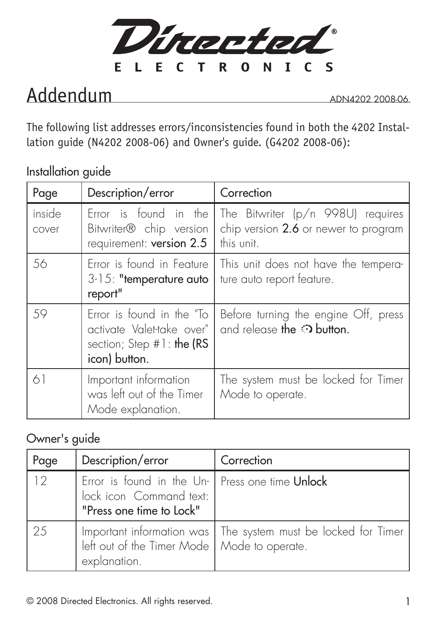

## Addendum

ADN4202 2008-06.

The following list addresses errors/inconsistencies found in both the 4202 Installation guide (N4202 2008-06) and Owner's guide. (G4202 2008-06):

Installation guide

| Page            | Description/error                                                                                    | Correction                                                                              |
|-----------------|------------------------------------------------------------------------------------------------------|-----------------------------------------------------------------------------------------|
| inside<br>cover | Error is found in the<br>Bitwriter® chip version<br>requirement: version 2.5                         | The Bitwriter (p/n 998U) requires<br>chip version 2.6 or newer to program<br>this unit. |
| 56              | Error is found in Feature<br>$3-15$ : "temperature auto<br>report"                                   | This unit does not have the tempera-<br>ture auto report feature.                       |
| 59              | Error is found in the "To<br>activate Valet-take over"<br>section; Step #1: the (RS<br>icon) button. | Before turning the engine Off, press<br>and release the $\odot$ button.                 |
| 61              | Important information<br>was left out of the Timer<br>Mode explanation.                              | The system must be locked for Timer<br>Mode to operate.                                 |

## Owner's guide

| Page | Description/error                                                                                      | Correction                                                      |
|------|--------------------------------------------------------------------------------------------------------|-----------------------------------------------------------------|
| 12   | Error is found in the Un- Press one time Unlock<br>lock icon Command text:<br>"Press one time to Lock" |                                                                 |
| 25   | left out of the Timer Mode   Mode to operate.<br>explanation.                                          | Important information was   The system must be locked for Timer |